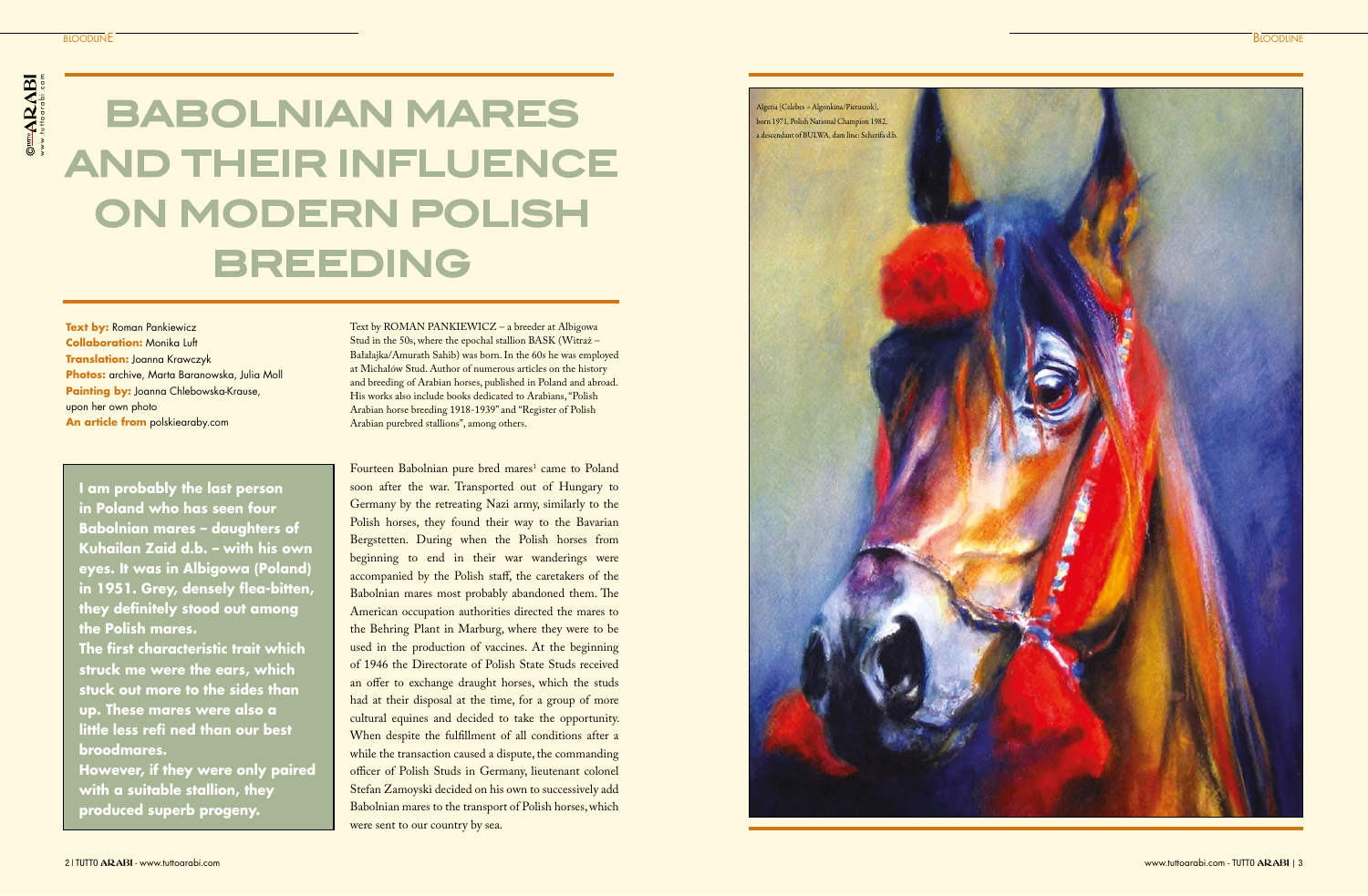Fourteen Babolnian pure bred mares<sup>1</sup> came to Poland soon after the war. Transported out of Hungary to Germany by the retreating Nazi army, similarly to the Polish horses, they found their way to the Bavarian Bergstetten. During when the Polish horses from beginning to end in their war wanderings were accompanied by the Polish staff, the caretakers of the Babolnian mares most probably abandoned them. The American occupation authorities directed the mares to the Behring Plant in Marburg, where they were to be used in the production of vaccines. At the beginning of 1946 the Directorate of Polish State Studs received an offer to exchange draught horses, which the studs had at their disposal at the time, for a group of more cultural equines and decided to take the opportunity. When despite the fulfillment of all conditions after a while the transaction caused a dispute, the commanding officer of Polish Studs in Germany, lieutenant colonel Stefan Zamoyski decided on his own to successively add Babolnian mares to the transport of Polish horses, which were sent to our country by sea.

**Text by: Roman Pankiewicz Collaboration:** Monika Luft **Translation:** Joanna Krawczyk **Photos:** archive, Marta Baranowska, Julia Moll **Painting by:** Joanna Chlebowska-Krause, upon her own photo **An article from** polskiearaby.com

# BABOLNIAN MARES AND THEIR INFLUENCE ON MODERN POLISH BREEDING

**I am probably the last person in Poland who has seen four Babolnian mares – daughters of Kuhailan Zaid d.b. – with his own eyes. It was in Albigowa (Poland) in 1951. Grey, densely flea-bitten, they definitely stood out among the Polish mares.** 

**The first characteristic trait which struck me were the ears, which stuck out more to the sides than up. These mares were also a little less refi ned than our best broodmares.**

**However, if they were only paired with a suitable stallion, they produced superb progeny.**



Text by ROMAN PANKIEWICZ – a breeder at Albigowa Stud in the 50s, where the epochal stallion BASK (Witraż – Bałałajka/Amurath Sahib) was born. In the 60s he was employed at Michałów Stud. Author of numerous articles on the history and breeding of Arabian horses, published in Poland and abroad. His works also include books dedicated to Arabians, "Polish Arabian horse breeding 1918-1939" and "Register of Polish Arabian purebred stallions", among others.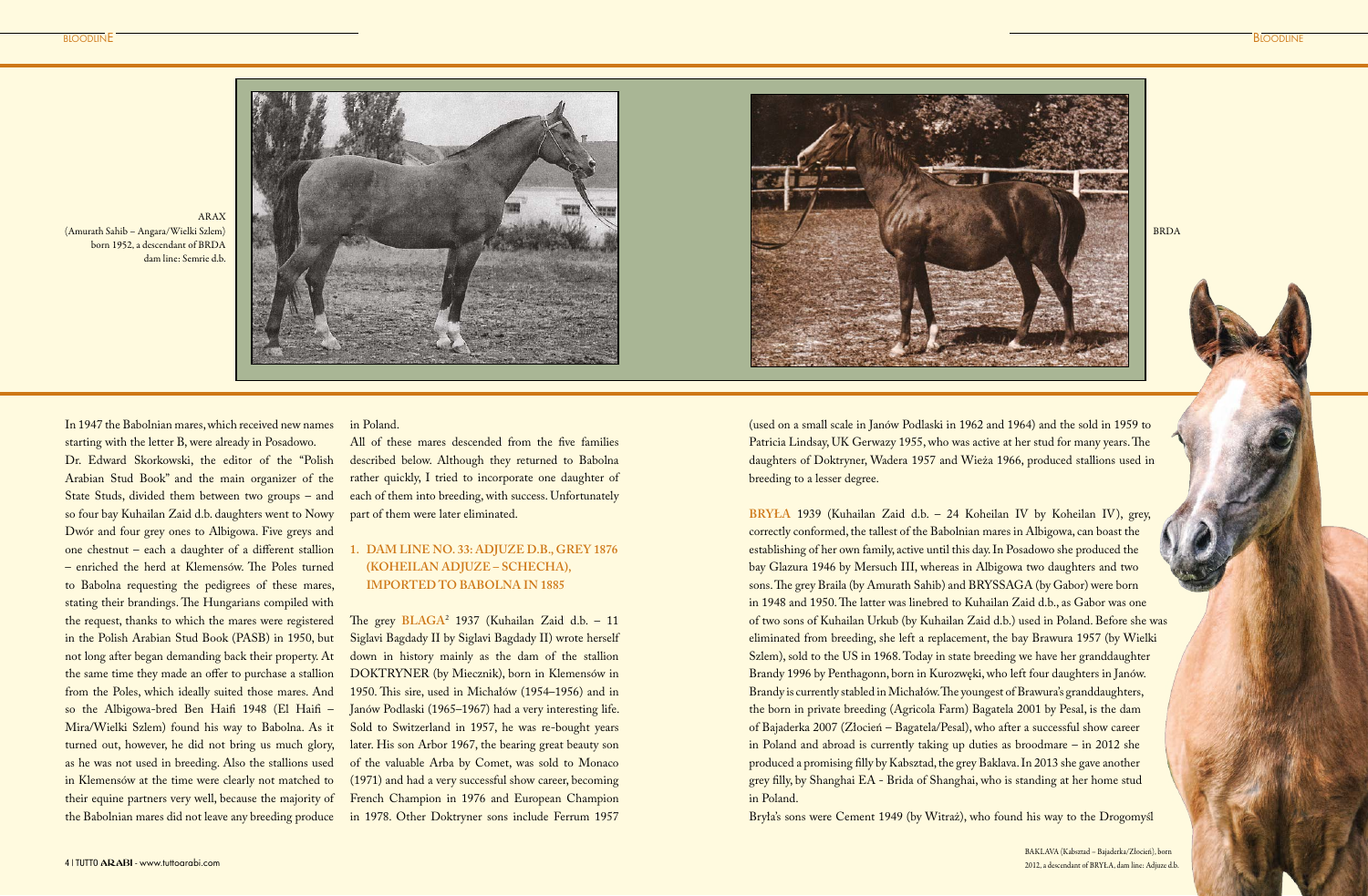In 1947 the Babolnian mares, which received new names starting with the letter B, were already in Posadowo. Dr. Edward Skorkowski, the editor of the "Polish Arabian Stud Book" and the main organizer of the State Studs, divided them between two groups – and so four bay Kuhailan Zaid d.b. daughters went to Nowy Dwór and four grey ones to Albigowa. Five greys and one chestnut – each a daughter of a different stallion – enriched the herd at Klemensów. The Poles turned to Babolna requesting the pedigrees of these mares, stating their brandings. The Hungarians compiled with the request, thanks to which the mares were registered in the Polish Arabian Stud Book (PASB) in 1950, but not long after began demanding back their property. At the same time they made an offer to purchase a stallion from the Poles, which ideally suited those mares. And so the Albigowa-bred Ben Haifi 1948 (El Haifi – Mira/Wielki Szlem) found his way to Babolna. As it turned out, however, he did not bring us much glory, as he was not used in breeding. Also the stallions used in Klemensów at the time were clearly not matched to their equine partners very well, because the majority of the Babolnian mares did not leave any breeding produce

in Poland.

All of these mares descended from the five families described below. Although they returned to Babolna rather quickly, I tried to incorporate one daughter of each of them into breeding, with success. Unfortunately part of them were later eliminated.

## **1. DAM LINE NO. 33: ADJUZE D.B., GREY 1876 (KOHEILAN ADJUZE – SCHECHA), IMPORTED TO BABOLNA IN 1885**

The grey **BLAGA**<sup>2</sup> 1937 (Kuhailan Zaid d.b. – 11 Siglavi Bagdady II by Siglavi Bagdady II) wrote herself down in history mainly as the dam of the stallion DOKTRYNER (by Miecznik), born in Klemensów in 1950. This sire, used in Michałów (1954–1956) and in Janów Podlaski (1965–1967) had a very interesting life. Sold to Switzerland in 1957, he was re-bought years later. His son Arbor 1967, the bearing great beauty son of the valuable Arba by Comet, was sold to Monaco (1971) and had a very successful show career, becoming French Champion in 1976 and European Champion in 1978. Other Doktryner sons include Ferrum 1957

BLOODLINE **BLOODLINE** 





ARAX (Amurath Sahib – Angara/Wielki Szlem) born 1952, a descendant of BRDA dam line: Semrie d.b.

BRDA

(used on a small scale in Janów Podlaski in 1962 and 1964) and the sold in 1959 to Patricia Lindsay, UK Gerwazy 1955, who was active at her stud for many years. The daughters of Doktryner, Wadera 1957 and Wieża 1966, produced stallions used in breeding to a lesser degree.

**BRYŁA** 1939 (Kuhailan Zaid d.b. – 24 Koheilan IV by Koheilan IV), grey, correctly conformed, the tallest of the Babolnian mares in Albigowa, can boast the establishing of her own family, active until this day. In Posadowo she produced the bay Glazura 1946 by Mersuch III, whereas in Albigowa two daughters and two sons. The grey Braila (by Amurath Sahib) and BRYSSAGA (by Gabor) were born in 1948 and 1950. The latter was linebred to Kuhailan Zaid d.b., as Gabor was one of two sons of Kuhailan Urkub (by Kuhailan Zaid d.b.) used in Poland. Before she was eliminated from breeding, she left a replacement, the bay Brawura 1957 (by Wielki Szlem), sold to the US in 1968. Today in state breeding we have her granddaughter Brandy 1996 by Penthagonn, born in Kurozwęki, who left four daughters in Janów. Brandy is currently stabled in Michałów. The youngest of Brawura's granddaughters, the born in private breeding (Agricola Farm) Bagatela 2001 by Pesal, is the dam of Bajaderka 2007 (Złocień – Bagatela/Pesal), who after a successful show career in Poland and abroad is currently taking up duties as broodmare – in 2012 she produced a promising filly by Kabsztad, the grey Baklava. In 2013 she gave another grey filly, by Shanghai EA - Brida of Shanghai, who is standing at her home stud in Poland.

Bryła's sons were Cement 1949 (by Witraż), who found his way to the Drogomyśl

BAKLAVA (Kabsztad – Bajaderka/Złocień), born 2012, a descendant of BRYŁA, dam line: Adjuze d.b.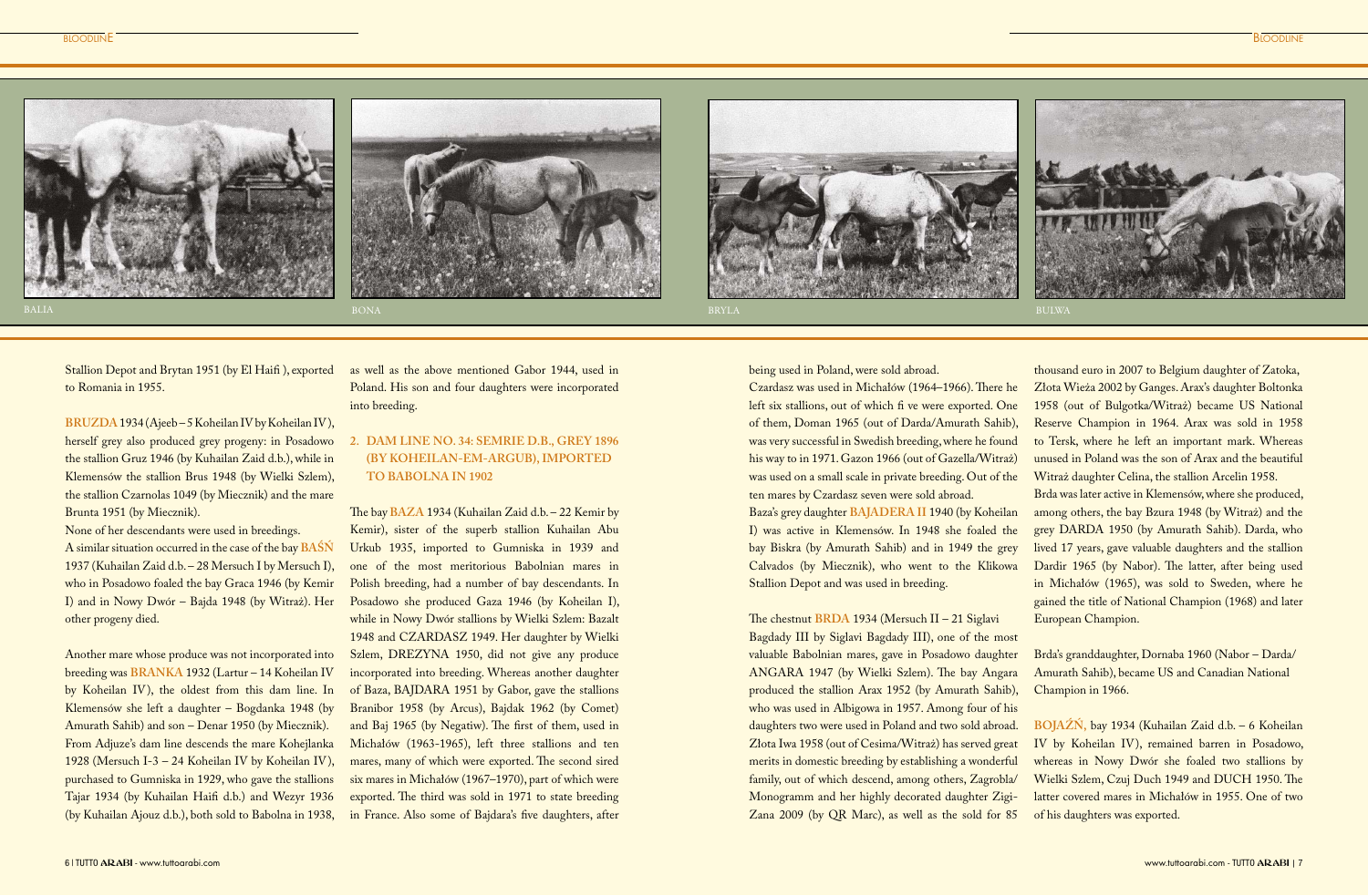Stallion Depot and Brytan 1951 (by El Haifi ), exported to Romania in 1955.

BRUZDA 1934 (Ajeeb – 5 Koheilan IV by Koheilan IV), herself grey also produced grey progeny: in Posadowo the stallion Gruz 1946 (by Kuhailan Zaid d.b.), while in Klemensów the stallion Brus 1948 (by Wielki Szlem), the stallion Czarnolas 1049 (by Miecznik) and the mare Brunta 1951 (by Miecznik).

None of her descendants were used in breedings. A similar situation occurred in the case of the bay **BAŚŃ** 1937 (Kuhailan Zaid d.b. – 28 Mersuch I by Mersuch I), who in Posadowo foaled the bay Graca 1946 (by Kemir I) and in Nowy Dwór – Bajda 1948 (by Witraż). Her other progeny died.

Another mare whose produce was not incorporated into breeding was **BRANKA** 1932 (Lartur – 14 Koheilan IV by Koheilan IV), the oldest from this dam line. In Klemensów she left a daughter – Bogdanka 1948 (by Amurath Sahib) and son – Denar 1950 (by Miecznik). From Adjuze's dam line descends the mare Kohejlanka 1928 (Mersuch I-3 – 24 Koheilan IV by Koheilan IV), purchased to Gumniska in 1929, who gave the stallions Tajar 1934 (by Kuhailan Haifi d.b.) and Wezyr 1936 (by Kuhailan Ajouz d.b.), both sold to Babolna in 1938, as well as the above mentioned Gabor 1944, used in Poland. His son and four daughters were incorporated into breeding.

# **2. DAM LINE NO. 34: SEMRIE D.B., GREY 1896 (BY KOHEILAN-EM-ARGUB), IMPORTED TO BABOLNA IN 1902**

The bay **BAZA** 1934 (Kuhailan Zaid d.b. – 22 Kemir by Kemir), sister of the superb stallion Kuhailan Abu Urkub 1935, imported to Gumniska in 1939 and one of the most meritorious Babolnian mares in Polish breeding, had a number of bay descendants. In Posadowo she produced Gaza 1946 (by Koheilan I), while in Nowy Dwór stallions by Wielki Szlem: Bazalt 1948 and CZARDASZ 1949. Her daughter by Wielki Szlem, DREZYNA 1950, did not give any produce incorporated into breeding. Whereas another daughter of Baza, BAJDARA 1951 by Gabor, gave the stallions Branibor 1958 (by Arcus), Bajdak 1962 (by Comet) and Baj 1965 (by Negatiw). The first of them, used in Michałów (1963-1965), left three stallions and ten mares, many of which were exported. The second sired six mares in Michałów (1967–1970), part of which were exported. The third was sold in 1971 to state breeding in France. Also some of Bajdara's five daughters, after







being used in Poland, were sold abroad.

Czardasz was used in Michałów (1964–1966). There he left six stallions, out of which fi ve were exported. One of them, Doman 1965 (out of Darda/Amurath Sahib), was very successful in Swedish breeding, where he found his way to in 1971. Gazon 1966 (out of Gazella/Witraż) was used on a small scale in private breeding. Out of the ten mares by Czardasz seven were sold abroad. Baza's grey daughter **BAJADERA II** 1940 (by Koheilan

I) was active in Klemensów. In 1948 she foaled the bay Biskra (by Amurath Sahib) and in 1949 the grey Calvados (by Miecznik), who went to the Klikowa Stallion Depot and was used in breeding.

#### The chestnut **BRDA** 1934 (Mersuch II – 21 Siglavi

Bagdady III by Siglavi Bagdady III), one of the most valuable Babolnian mares, gave in Posadowo daughter ANGARA 1947 (by Wielki Szlem). The bay Angara produced the stallion Arax 1952 (by Amurath Sahib), who was used in Albigowa in 1957. Among four of his daughters two were used in Poland and two sold abroad. Złota Iwa 1958 (out of Cesima/Witraż) has served great merits in domestic breeding by establishing a wonderful family, out of which descend, among others, Zagrobla/ Monogramm and her highly decorated daughter Zigi-Zana 2009 (by QR Marc), as well as the sold for 85

thousand euro in 2007 to Belgium daughter of Zatoka, Złota Wieża 2002 by Ganges. Arax's daughter Boltonka 1958 (out of Bulgotka/Witraż) became US National Reserve Champion in 1964. Arax was sold in 1958 to Tersk, where he left an important mark. Whereas unused in Poland was the son of Arax and the beautiful Witraż daughter Celina, the stallion Arcelin 1958.

Brda was later active in Klemensów, where she produced, among others, the bay Bzura 1948 (by Witraż) and the grey DARDA 1950 (by Amurath Sahib). Darda, who lived 17 years, gave valuable daughters and the stallion Dardir 1965 (by Nabor). The latter, after being used in Michałów (1965), was sold to Sweden, where he gained the title of National Champion (1968) and later European Champion.

Brda's granddaughter, Dornaba 1960 (Nabor – Darda/ Amurath Sahib), became US and Canadian National Champion in 1966.

**BOJAŹŃ,** bay 1934 (Kuhailan Zaid d.b. – 6 Koheilan IV by Koheilan IV), remained barren in Posadowo, whereas in Nowy Dwór she foaled two stallions by Wielki Szlem, Czuj Duch 1949 and DUCH 1950. The latter covered mares in Michałów in 1955. One of two of his daughters was exported.